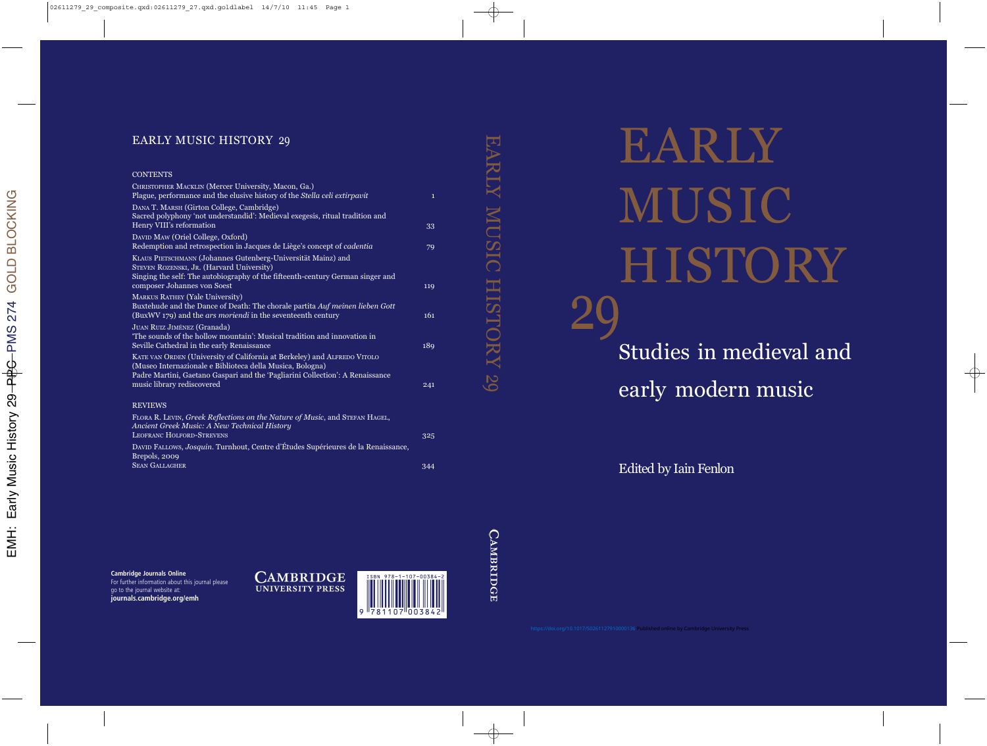# EARLY MUSIC HISTORY Studies in medieval and early modern music 29

Edited by Iain Fenlon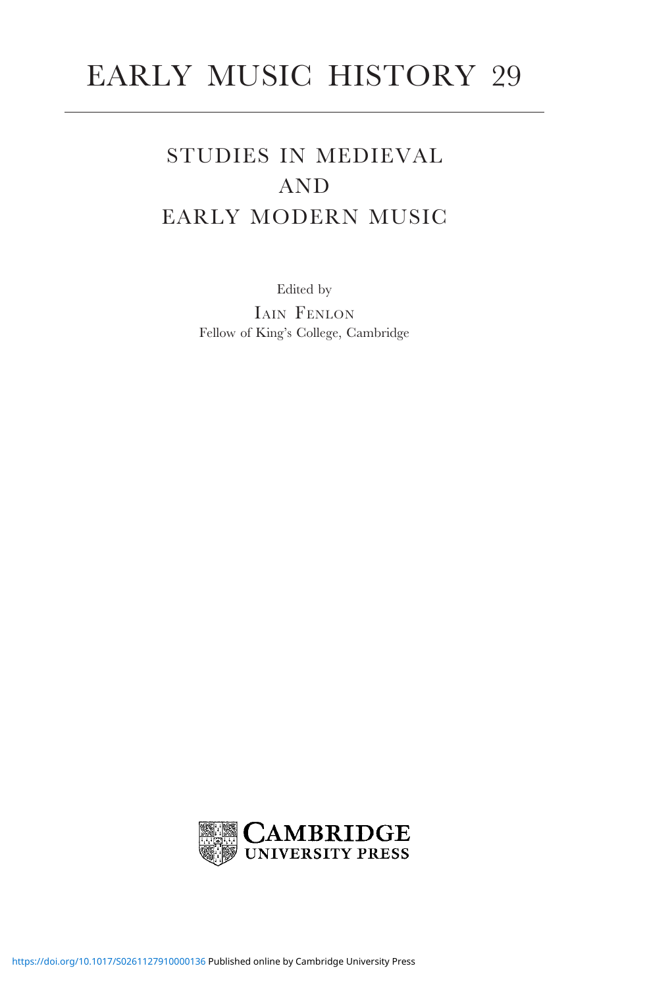# EARLY MUSIC HISTORY 29

## STUDIES IN MEDIEVAL AND EARLY MODERN MUSIC

Edited by

IAIN FENLON Fellow of King's College, Cambridge

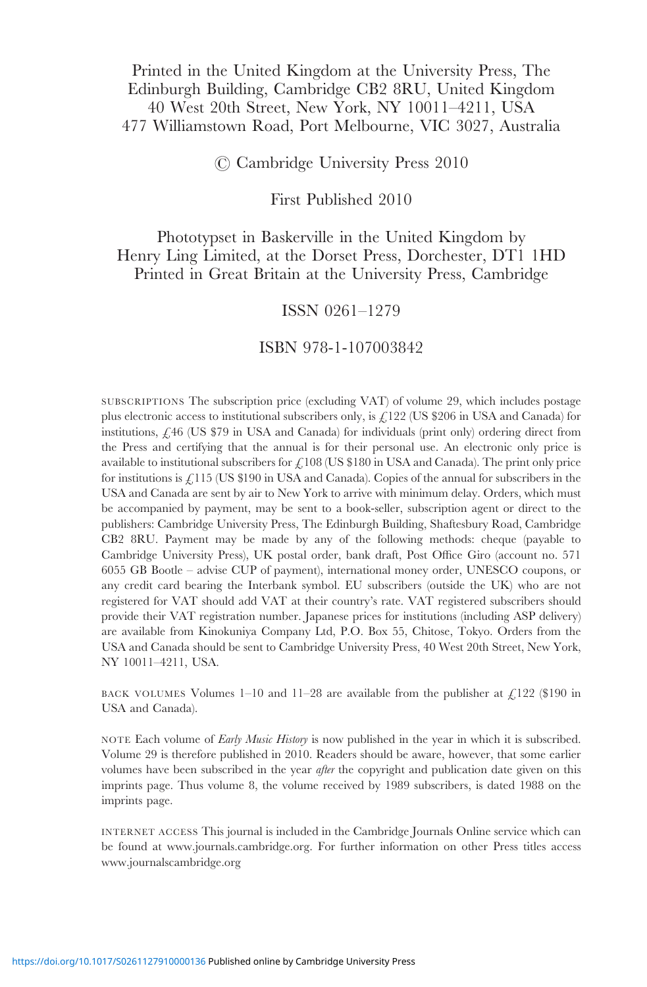#### Printed in the United Kingdom at the University Press, The Edinburgh Building, Cambridge CB2 8RU, United Kingdom 40 West 20th Street, New York, NY 10011–4211, USA 477 Williamstown Road, Port Melbourne, VIC 3027, Australia

#### C Cambridge University Press 2010

First Published 2010

Phototypset in Baskerville in the United Kingdom by Henry Ling Limited, at the Dorset Press, Dorchester, DT1 1HD Printed in Great Britain at the University Press, Cambridge

#### ISSN 0261–1279

#### ISBN 978-1-107003842

SUBSCRIPTIONS The subscription price (excluding VAT) of volume 29, which includes postage plus electronic access to institutional subscribers only, is  $\mathcal{L}122$  (US \$206 in USA and Canada) for institutions, £46 (US \$79 in USA and Canada) for individuals (print only) ordering direct from the Press and certifying that the annual is for their personal use. An electronic only price is available to institutional subscribers for  $\mathcal{L}108$  (US \$180 in USA and Canada). The print only price for institutions is  $\angle$ 115 (US \$190 in USA and Canada). Copies of the annual for subscribers in the USA and Canada are sent by air to New York to arrive with minimum delay. Orders, which must be accompanied by payment, may be sent to a book-seller, subscription agent or direct to the publishers: Cambridge University Press, The Edinburgh Building, Shaftesbury Road, Cambridge CB2 8RU. Payment may be made by any of the following methods: cheque (payable to Cambridge University Press), UK postal order, bank draft, Post Office Giro (account no. 571 6055 GB Bootle – advise CUP of payment), international money order, UNESCO coupons, or any credit card bearing the Interbank symbol. EU subscribers (outside the UK) who are not registered for VAT should add VAT at their country's rate. VAT registered subscribers should provide their VAT registration number. Japanese prices for institutions (including ASP delivery) are available from Kinokuniya Company Ltd, P.O. Box 55, Chitose, Tokyo. Orders from the USA and Canada should be sent to Cambridge University Press, 40 West 20th Street, New York, NY 10011–4211, USA.

BACK VOLUMES Volumes  $1-10$  and  $11-28$  are available from the publisher at  $\frac{1}{2}122$  (\$190 in USA and Canada).

NOTE Each volume of *Early Music History* is now published in the year in which it is subscribed. Volume 29 is therefore published in 2010. Readers should be aware, however, that some earlier volumes have been subscribed in the year *after* the copyright and publication date given on this imprints page. Thus volume 8, the volume received by 1989 subscribers, is dated 1988 on the imprints page.

INTERNET ACCESS This journal is included in the Cambridge Journals Online service which can be found at www.journals.cambridge.org. For further information on other Press titles access www.journalscambridge.org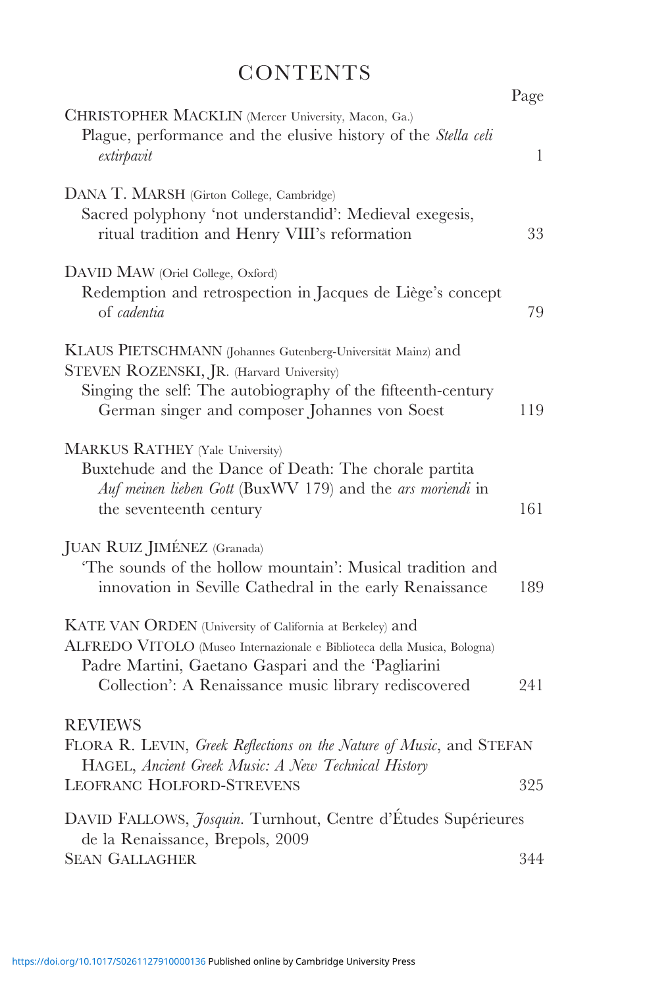## **CONTENTS**

|                                                                                                                                                                                                                                                      | Page         |
|------------------------------------------------------------------------------------------------------------------------------------------------------------------------------------------------------------------------------------------------------|--------------|
| CHRISTOPHER MACKLIN (Mercer University, Macon, Ga.)<br>Plague, performance and the elusive history of the Stella celi<br>extirpavit                                                                                                                  | $\mathbf{1}$ |
| DANA T. MARSH (Girton College, Cambridge)<br>Sacred polyphony 'not understandid': Medieval exegesis,<br>ritual tradition and Henry VIII's reformation                                                                                                | 33           |
| DAVID MAW (Oriel College, Oxford)<br>Redemption and retrospection in Jacques de Liège's concept<br>of cadentia                                                                                                                                       | 79           |
| KLAUS PIETSCHMANN (Johannes Gutenberg-Universität Mainz) and<br>STEVEN ROZENSKI, JR. (Harvard University)<br>Singing the self: The autobiography of the fifteenth-century<br>German singer and composer Johannes von Soest                           | 119          |
| <b>MARKUS RATHEY (Yale University)</b><br>Buxtehude and the Dance of Death: The chorale partita<br>Auf meinen lieben Gott (BuxWV 179) and the ars moriendi in<br>the seventeenth century                                                             | 161          |
| JUAN RUIZ JIMÉNEZ (Granada)<br>'The sounds of the hollow mountain': Musical tradition and<br>innovation in Seville Cathedral in the early Renaissance                                                                                                | 189          |
| KATE VAN ORDEN (University of California at Berkeley) and<br>ALFREDO VITOLO (Museo Internazionale e Biblioteca della Musica, Bologna)<br>Padre Martini, Gaetano Gaspari and the 'Pagliarini<br>Collection': A Renaissance music library rediscovered | 241          |
| <b>REVIEWS</b><br>FLORA R. LEVIN, Greek Reflections on the Nature of Music, and STEFAN<br>HAGEL, Ancient Greek Music: A New Technical History<br>LEOFRANC HOLFORD-STREVENS                                                                           | 325          |
| DAVID FALLOWS, Josquin. Turnhout, Centre d'Études Supérieures<br>de la Renaissance, Brepols, 2009<br><b>SEAN GALLAGHER</b>                                                                                                                           | 344          |
|                                                                                                                                                                                                                                                      |              |